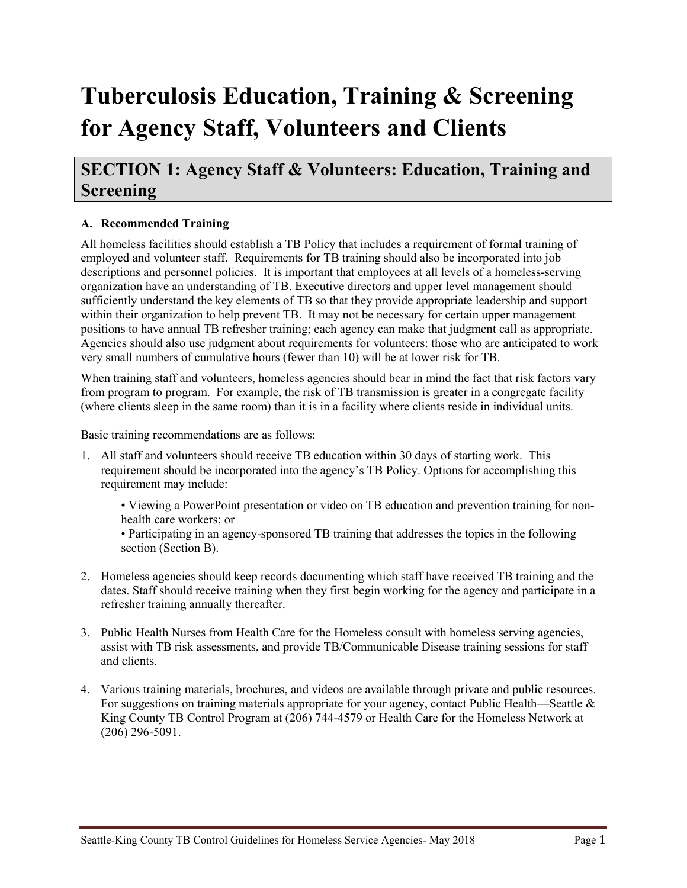# **Tuberculosis Education, Training & Screening for Agency Staff, Volunteers and Clients**

# **SECTION 1: Agency Staff & Volunteers: Education, Training and Screening**

# **A. Recommended Training**

All homeless facilities should establish a TB Policy that includes a requirement of formal training of employed and volunteer staff. Requirements for TB training should also be incorporated into job descriptions and personnel policies. It is important that employees at all levels of a homeless-serving organization have an understanding of TB. Executive directors and upper level management should sufficiently understand the key elements of TB so that they provide appropriate leadership and support within their organization to help prevent TB. It may not be necessary for certain upper management positions to have annual TB refresher training; each agency can make that judgment call as appropriate. Agencies should also use judgment about requirements for volunteers: those who are anticipated to work very small numbers of cumulative hours (fewer than 10) will be at lower risk for TB.

When training staff and volunteers, homeless agencies should bear in mind the fact that risk factors vary from program to program. For example, the risk of TB transmission is greater in a congregate facility (where clients sleep in the same room) than it is in a facility where clients reside in individual units.

Basic training recommendations are as follows:

- 1. All staff and volunteers should receive TB education within 30 days of starting work. This requirement should be incorporated into the agency's TB Policy. Options for accomplishing this requirement may include:
	- Viewing a PowerPoint presentation or video on TB education and prevention training for nonhealth care workers; or
	- Participating in an agency-sponsored TB training that addresses the topics in the following section (Section B).
- 2. Homeless agencies should keep records documenting which staff have received TB training and the dates. Staff should receive training when they first begin working for the agency and participate in a refresher training annually thereafter.
- 3. Public Health Nurses from Health Care for the Homeless consult with homeless serving agencies, assist with TB risk assessments, and provide TB/Communicable Disease training sessions for staff and clients.
- 4. Various training materials, brochures, and videos are available through private and public resources. For suggestions on training materials appropriate for your agency, contact Public Health—Seattle & King County TB Control Program at (206) 744-4579 or Health Care for the Homeless Network at (206) 296-5091.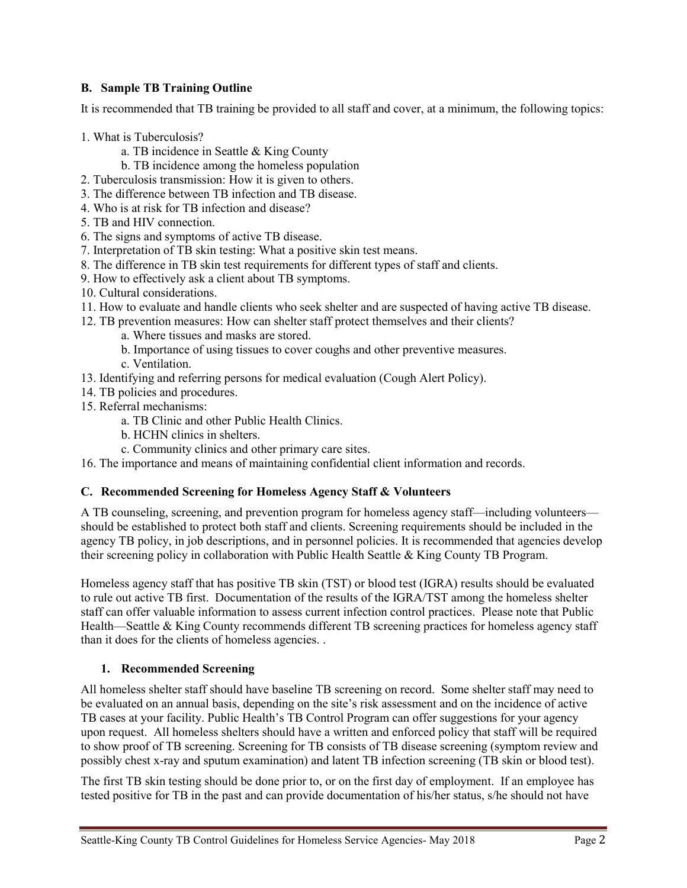## **B. Sample TB Training Outline**

It is recommended that TB training be provided to all staff and cover, at a minimum, the following topics:

- 1. What is Tuberculosis?
	- a. TB incidence in Seattle & King County
	- b. TB incidence among the homeless population
- 2. Tuberculosis transmission: How it is given to others.
- 3. The difference between TB infection and TB disease.
- 4. Who is at risk for TB infection and disease?
- 5. TB and HIV connection.
- 6. The signs and symptoms of active TB disease.
- 7. Interpretation of TB skin testing: What a positive skin test means.
- 8. The difference in TB skin test requirements for different types of staff and clients.
- 9. How to effectively ask a client about TB symptoms.
- 10. Cultural considerations.
- 11. How to evaluate and handle clients who seek shelter and are suspected of having active TB disease.
- 12. TB prevention measures: How can shelter staff protect themselves and their clients?
	- a. Where tissues and masks are stored.
	- b. Importance of using tissues to cover coughs and other preventive measures.
	- c. Ventilation.
- 13. Identifying and referring persons for medical evaluation (Cough Alert Policy).
- 14. TB policies and procedures.
- 15. Referral mechanisms:
	- a. TB Clinic and other Public Health Clinics.
	- b. HCHN clinics in shelters.
	- c. Community clinics and other primary care sites.
- 16. The importance and means of maintaining confidential client information and records.

### **C. Recommended Screening for Homeless Agency Staff & Volunteers**

A TB counseling, screening, and prevention program for homeless agency staff—including volunteers should be established to protect both staff and clients. Screening requirements should be included in the agency TB policy, in job descriptions, and in personnel policies. It is recommended that agencies develop their screening policy in collaboration with Public Health Seattle & King County TB Program.

Homeless agency staff that has positive TB skin (TST) or blood test (IGRA) results should be evaluated to rule out active TB first. Documentation of the results of the IGRA/TST among the homeless shelter staff can offer valuable information to assess current infection control practices. Please note that Public Health—Seattle & King County recommends different TB screening practices for homeless agency staff than it does for the clients of homeless agencies. .

### **1. Recommended Screening**

All homeless shelter staff should have baseline TB screening on record. Some shelter staff may need to be evaluated on an annual basis, depending on the site's risk assessment and on the incidence of active TB cases at your facility. Public Health's TB Control Program can offer suggestions for your agency upon request. All homeless shelters should have a written and enforced policy that staff will be required to show proof of TB screening. Screening for TB consists of TB disease screening (symptom review and possibly chest x-ray and sputum examination) and latent TB infection screening (TB skin or blood test).

The first TB skin testing should be done prior to, or on the first day of employment. If an employee has tested positive for TB in the past and can provide documentation of his/her status, s/he should not have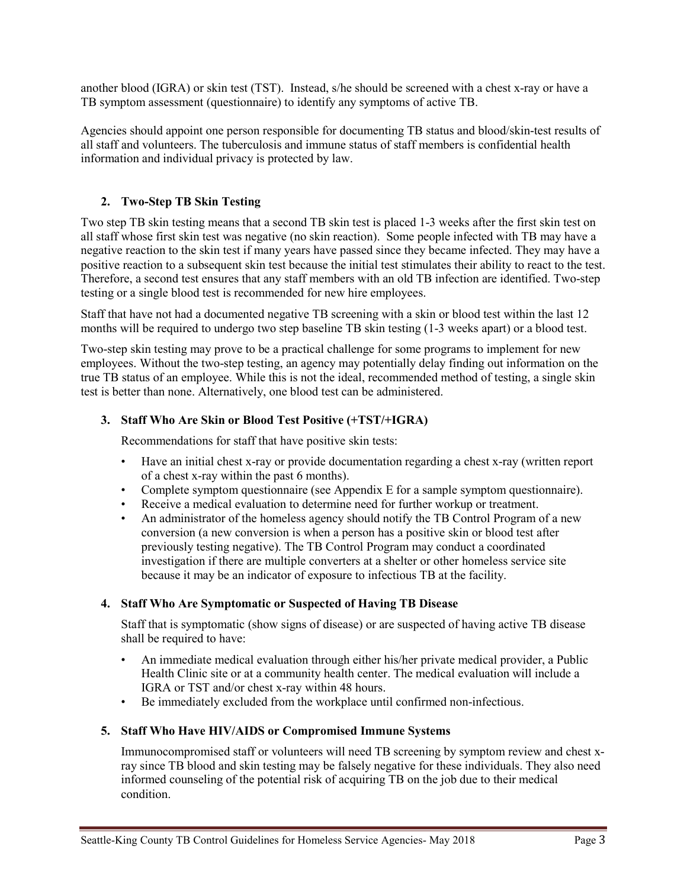another blood (IGRA) or skin test (TST). Instead, s/he should be screened with a chest x-ray or have a TB symptom assessment (questionnaire) to identify any symptoms of active TB.

Agencies should appoint one person responsible for documenting TB status and blood/skin-test results of all staff and volunteers. The tuberculosis and immune status of staff members is confidential health information and individual privacy is protected by law.

# **2. Two-Step TB Skin Testing**

Two step TB skin testing means that a second TB skin test is placed 1-3 weeks after the first skin test on all staff whose first skin test was negative (no skin reaction). Some people infected with TB may have a negative reaction to the skin test if many years have passed since they became infected. They may have a positive reaction to a subsequent skin test because the initial test stimulates their ability to react to the test. Therefore, a second test ensures that any staff members with an old TB infection are identified. Two-step testing or a single blood test is recommended for new hire employees.

Staff that have not had a documented negative TB screening with a skin or blood test within the last 12 months will be required to undergo two step baseline TB skin testing (1-3 weeks apart) or a blood test.

Two-step skin testing may prove to be a practical challenge for some programs to implement for new employees. Without the two-step testing, an agency may potentially delay finding out information on the true TB status of an employee. While this is not the ideal, recommended method of testing, a single skin test is better than none. Alternatively, one blood test can be administered.

### **3. Staff Who Are Skin or Blood Test Positive (+TST/+IGRA)**

Recommendations for staff that have positive skin tests:

- Have an initial chest x-ray or provide documentation regarding a chest x-ray (written report of a chest x-ray within the past 6 months).
- Complete symptom questionnaire (see Appendix E for a sample symptom questionnaire).
- Receive a medical evaluation to determine need for further workup or treatment.
- An administrator of the homeless agency should notify the TB Control Program of a new conversion (a new conversion is when a person has a positive skin or blood test after previously testing negative). The TB Control Program may conduct a coordinated investigation if there are multiple converters at a shelter or other homeless service site because it may be an indicator of exposure to infectious TB at the facility.

### **4. Staff Who Are Symptomatic or Suspected of Having TB Disease**

Staff that is symptomatic (show signs of disease) or are suspected of having active TB disease shall be required to have:

- An immediate medical evaluation through either his/her private medical provider, a Public Health Clinic site or at a community health center. The medical evaluation will include a IGRA or TST and/or chest x-ray within 48 hours.
- Be immediately excluded from the workplace until confirmed non-infectious.

### **5. Staff Who Have HIV/AIDS or Compromised Immune Systems**

Immunocompromised staff or volunteers will need TB screening by symptom review and chest xray since TB blood and skin testing may be falsely negative for these individuals. They also need informed counseling of the potential risk of acquiring TB on the job due to their medical condition.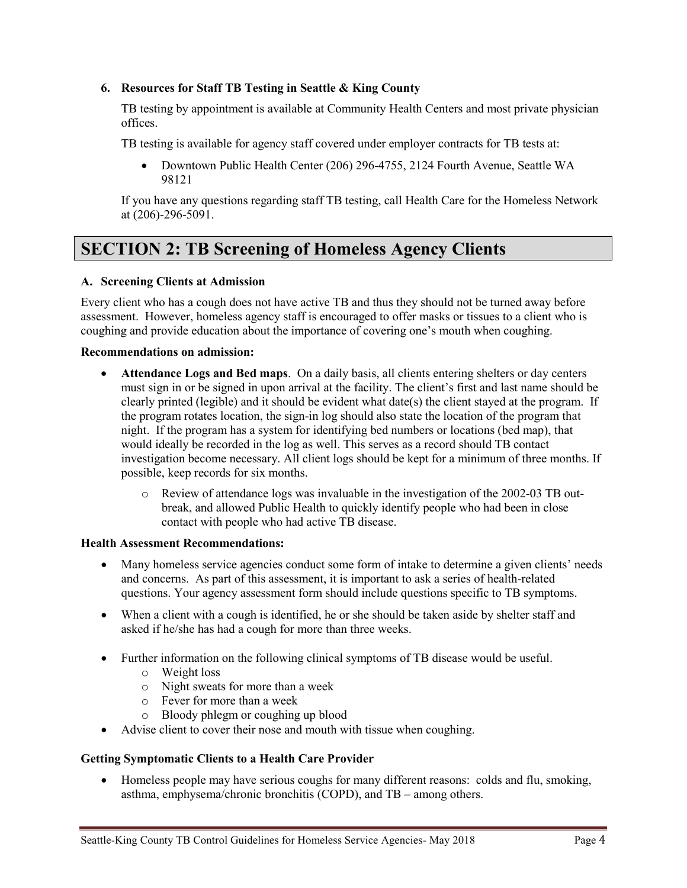#### **6. Resources for Staff TB Testing in Seattle & King County**

TB testing by appointment is available at Community Health Centers and most private physician offices.

TB testing is available for agency staff covered under employer contracts for TB tests at:

• Downtown Public Health Center (206) 296-4755, 2124 Fourth Avenue, Seattle WA 98121

If you have any questions regarding staff TB testing, call Health Care for the Homeless Network at (206)-296-5091.

# **SECTION 2: TB Screening of Homeless Agency Clients**

#### **A. Screening Clients at Admission**

Every client who has a cough does not have active TB and thus they should not be turned away before assessment. However, homeless agency staff is encouraged to offer masks or tissues to a client who is coughing and provide education about the importance of covering one's mouth when coughing.

#### **Recommendations on admission:**

- **Attendance Logs and Bed maps**. On a daily basis, all clients entering shelters or day centers must sign in or be signed in upon arrival at the facility. The client's first and last name should be clearly printed (legible) and it should be evident what date(s) the client stayed at the program. If the program rotates location, the sign-in log should also state the location of the program that night. If the program has a system for identifying bed numbers or locations (bed map), that would ideally be recorded in the log as well. This serves as a record should TB contact investigation become necessary. All client logs should be kept for a minimum of three months. If possible, keep records for six months.
	- o Review of attendance logs was invaluable in the investigation of the 2002-03 TB outbreak, and allowed Public Health to quickly identify people who had been in close contact with people who had active TB disease.

#### **Health Assessment Recommendations:**

- Many homeless service agencies conduct some form of intake to determine a given clients' needs and concerns. As part of this assessment, it is important to ask a series of health-related questions. Your agency assessment form should include questions specific to TB symptoms.
- When a client with a cough is identified, he or she should be taken aside by shelter staff and asked if he/she has had a cough for more than three weeks.
- Further information on the following clinical symptoms of TB disease would be useful.
	- o Weight loss
	- o Night sweats for more than a week
	- o Fever for more than a week
	- o Bloody phlegm or coughing up blood
- Advise client to cover their nose and mouth with tissue when coughing.

#### **Getting Symptomatic Clients to a Health Care Provider**

• Homeless people may have serious coughs for many different reasons: colds and flu, smoking, asthma, emphysema/chronic bronchitis (COPD), and TB – among others.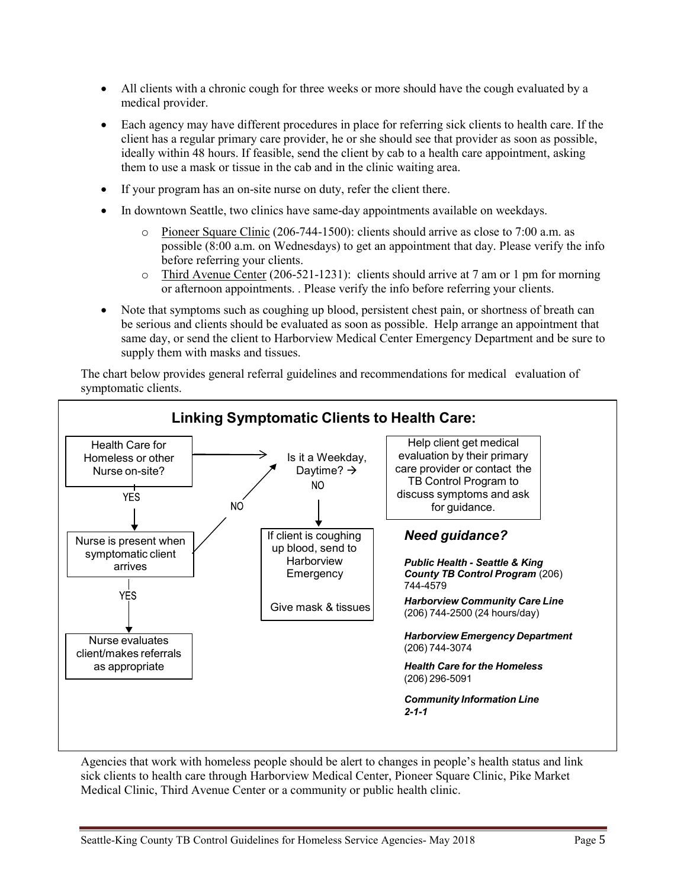- All clients with a chronic cough for three weeks or more should have the cough evaluated by a medical provider.
- Each agency may have different procedures in place for referring sick clients to health care. If the client has a regular primary care provider, he or she should see that provider as soon as possible, ideally within 48 hours. If feasible, send the client by cab to a health care appointment, asking them to use a mask or tissue in the cab and in the clinic waiting area.
- If your program has an on-site nurse on duty, refer the client there.
- In downtown Seattle, two clinics have same-day appointments available on weekdays.
	- $\circ$  Pioneer Square Clinic (206-744-1500): clients should arrive as close to 7:00 a.m. as possible (8:00 a.m. on Wednesdays) to get an appointment that day. Please verify the info before referring your clients.
	- $\circ$  Third Avenue Center (206-521-1231): clients should arrive at 7 am or 1 pm for morning or afternoon appointments. . Please verify the info before referring your clients.
- Note that symptoms such as coughing up blood, persistent chest pain, or shortness of breath can be serious and clients should be evaluated as soon as possible. Help arrange an appointment that same day, or send the client to Harborview Medical Center Emergency Department and be sure to supply them with masks and tissues.

The chart below provides general referral guidelines and recommendations for medical evaluation of symptomatic clients.



Agencies that work with homeless people should be alert to changes in people's health status and link sick clients to health care through Harborview Medical Center, Pioneer Square Clinic, Pike Market Medical Clinic, Third Avenue Center or a community or public health clinic.